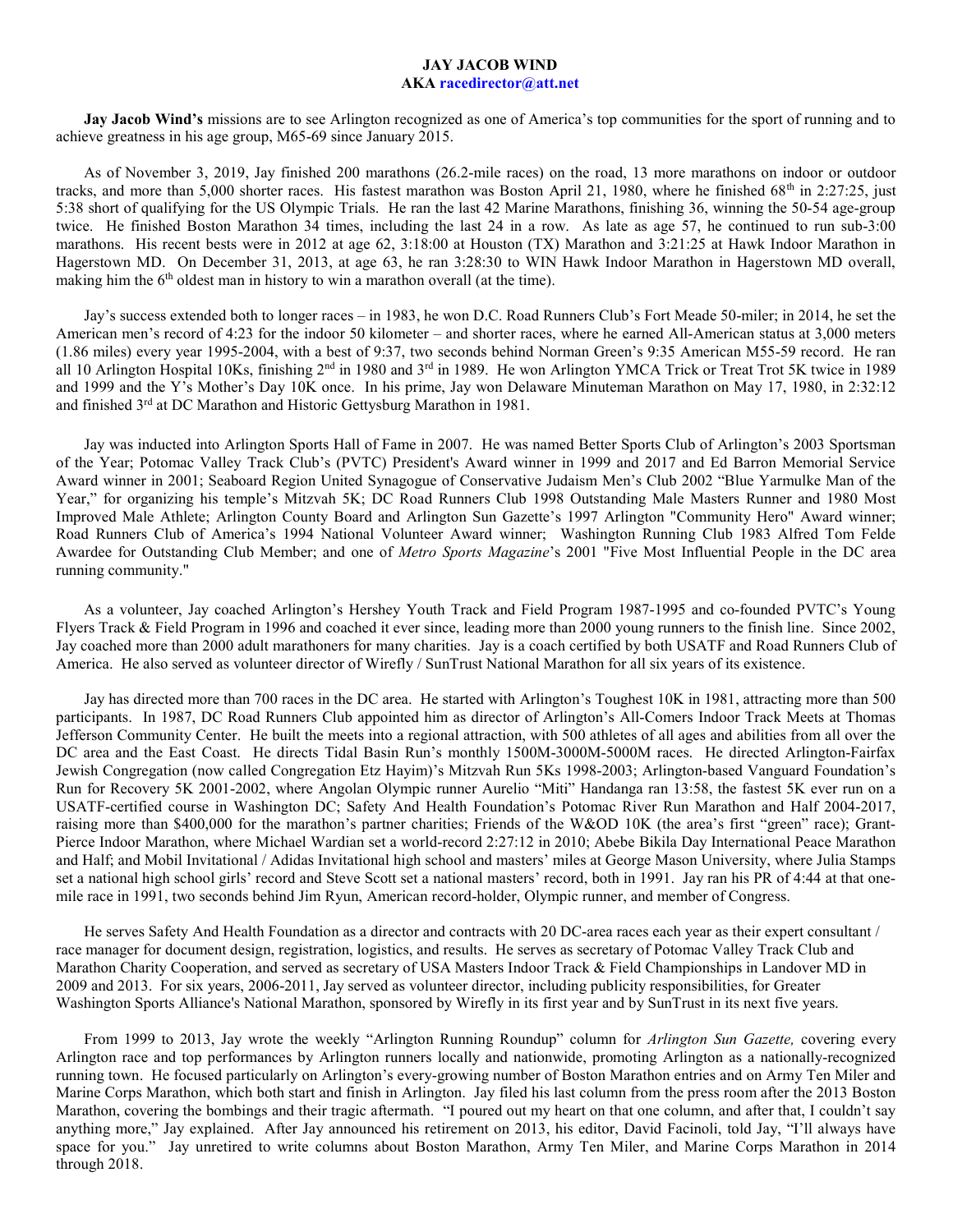## JAY JACOB WIND

## AKA racedirector@att.net

Jay Jacob Wind's missions are to see Arlington recognized as one of America's top communities for the sport of running and to achieve greatness in his age group, M65-69 since January 2015.

As of November 3, 2019, Jay finished 200 marathons (26.2-mile races) on the road, 13 more marathons on indoor or outdoor tracks, and more than 5,000 shorter races. His fastest marathon was Boston April 21, 1980, where he finished  $68<sup>th</sup>$  in 2:27:25, just 5:38 short of qualifying for the US Olympic Trials. He ran the last 42 Marine Marathons, finishing 36, winning the 50-54 age-group twice. He finished Boston Marathon 34 times, including the last 24 in a row. As late as age 57, he continued to run sub-3:00 marathons. His recent bests were in 2012 at age 62, 3:18:00 at Houston (TX) Marathon and 3:21:25 at Hawk Indoor Marathon in Hagerstown MD. On December 31, 2013, at age 63, he ran 3:28:30 to WIN Hawk Indoor Marathon in Hagerstown MD overall, making him the  $6<sup>th</sup>$  oldest man in history to win a marathon overall (at the time).

Jay's success extended both to longer races – in 1983, he won D.C. Road Runners Club's Fort Meade 50-miler; in 2014, he set the American men's record of 4:23 for the indoor 50 kilometer – and shorter races, where he earned All-American status at 3,000 meters (1.86 miles) every year 1995-2004, with a best of 9:37, two seconds behind Norman Green's 9:35 American M55-59 record. He ran all 10 Arlington Hospital 10Ks, finishing 2<sup>nd</sup> in 1980 and 3<sup>rd</sup> in 1989. He won Arlington YMCA Trick or Treat Trot 5K twice in 1989 and 1999 and the Y's Mother's Day 10K once. In his prime, Jay won Delaware Minuteman Marathon on May 17, 1980, in 2:32:12 and finished 3rd at DC Marathon and Historic Gettysburg Marathon in 1981.

Jay was inducted into Arlington Sports Hall of Fame in 2007. He was named Better Sports Club of Arlington's 2003 Sportsman of the Year; Potomac Valley Track Club's (PVTC) President's Award winner in 1999 and 2017 and Ed Barron Memorial Service Award winner in 2001; Seaboard Region United Synagogue of Conservative Judaism Men's Club 2002 "Blue Yarmulke Man of the Year," for organizing his temple's Mitzvah 5K; DC Road Runners Club 1998 Outstanding Male Masters Runner and 1980 Most Improved Male Athlete; Arlington County Board and Arlington Sun Gazette's 1997 Arlington "Community Hero" Award winner; Road Runners Club of America's 1994 National Volunteer Award winner; Washington Running Club 1983 Alfred Tom Felde Awardee for Outstanding Club Member; and one of Metro Sports Magazine's 2001 "Five Most Influential People in the DC area running community."

As a volunteer, Jay coached Arlington's Hershey Youth Track and Field Program 1987-1995 and co-founded PVTC's Young Flyers Track & Field Program in 1996 and coached it ever since, leading more than 2000 young runners to the finish line. Since 2002, Jay coached more than 2000 adult marathoners for many charities. Jay is a coach certified by both USATF and Road Runners Club of America. He also served as volunteer director of Wirefly / SunTrust National Marathon for all six years of its existence.

Jay has directed more than 700 races in the DC area. He started with Arlington's Toughest 10K in 1981, attracting more than 500 participants. In 1987, DC Road Runners Club appointed him as director of Arlington's All-Comers Indoor Track Meets at Thomas Jefferson Community Center. He built the meets into a regional attraction, with 500 athletes of all ages and abilities from all over the DC area and the East Coast. He directs Tidal Basin Run's monthly 1500M-3000M-5000M races. He directed Arlington-Fairfax Jewish Congregation (now called Congregation Etz Hayim)'s Mitzvah Run 5Ks 1998-2003; Arlington-based Vanguard Foundation's Run for Recovery 5K 2001-2002, where Angolan Olympic runner Aurelio "Miti" Handanga ran 13:58, the fastest 5K ever run on a USATF-certified course in Washington DC; Safety And Health Foundation's Potomac River Run Marathon and Half 2004-2017, raising more than \$400,000 for the marathon's partner charities; Friends of the W&OD 10K (the area's first "green" race); Grant-Pierce Indoor Marathon, where Michael Wardian set a world-record 2:27:12 in 2010; Abebe Bikila Day International Peace Marathon and Half; and Mobil Invitational / Adidas Invitational high school and masters' miles at George Mason University, where Julia Stamps set a national high school girls' record and Steve Scott set a national masters' record, both in 1991. Jay ran his PR of 4:44 at that onemile race in 1991, two seconds behind Jim Ryun, American record-holder, Olympic runner, and member of Congress.

He serves Safety And Health Foundation as a director and contracts with 20 DC-area races each year as their expert consultant / race manager for document design, registration, logistics, and results. He serves as secretary of Potomac Valley Track Club and Marathon Charity Cooperation, and served as secretary of USA Masters Indoor Track & Field Championships in Landover MD in 2009 and 2013. For six years, 2006-2011, Jay served as volunteer director, including publicity responsibilities, for Greater Washington Sports Alliance's National Marathon, sponsored by Wirefly in its first year and by SunTrust in its next five years.

From 1999 to 2013, Jay wrote the weekly "Arlington Running Roundup" column for Arlington Sun Gazette, covering every Arlington race and top performances by Arlington runners locally and nationwide, promoting Arlington as a nationally-recognized running town. He focused particularly on Arlington's every-growing number of Boston Marathon entries and on Army Ten Miler and Marine Corps Marathon, which both start and finish in Arlington. Jay filed his last column from the press room after the 2013 Boston Marathon, covering the bombings and their tragic aftermath. "I poured out my heart on that one column, and after that, I couldn't say anything more," Jay explained. After Jay announced his retirement on 2013, his editor, David Facinoli, told Jay, "I'll always have space for you." Jay unretired to write columns about Boston Marathon, Army Ten Miler, and Marine Corps Marathon in 2014 through 2018.